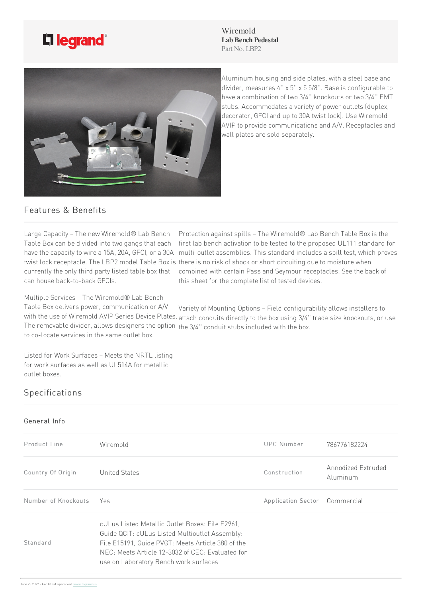

Wiremold **Lab Bench Pedestal** Part No. LBP2



Aluminum housing and side plates, with a steel base and divider, measures 4" x 5" x 5 5/8". Base is configurable to have a combination of two 3/4" knockouts or two 3/4" EMT stubs. Accommodates a variety of power outlets (duplex, decorator, GFCI and up to 30A twist lock). Use Wiremold AVIP to provide communications and A/V. Receptacles and wall plates are sold separately.

## Features & Benefits

Large Capacity - The new Wiremold® Lab Bench Table Box can be divided into two gangs that each can house back-to-back GFCIs.

have the capacity to wire a 15A, 20A, GFCI, or a 30A multi-outlet assemblies. This standard includes a spill test, which proves twist lock receptacle. The LBP2 model Table Box is there is no risk of shock or short circuiting due to moisture when currently the only third party listed table box that combined with certain Pass and Seymour receptacles. See the back of Protection against spills – The Wiremold® Lab Bench Table Box is the first lab bench activation to be tested to the proposed UL111 standard for this sheet for the complete list of tested devices.

Multiple Services – The Wiremold® Lab Bench

Table Box delivers power, communication or A/V with the use of Wiremold AVIP Series Device Plates. <sub>attach</sub> conduits directly to the box using 3/4" trade size knockouts, or use The removable divider, allows designers the option the 3/4" conduit stubs included with the box. to co-locate services in the same outlet box. Variety of Mounting Options – Field configurability allows installers to

Listed for Work Surfaces - Meets the NRTL listing for work surfaces as well as UL514A for metallic outlet boxes.

## **Specifications**

## General Info

| Product Line        | Wiremold                                                                                                                                                                                                                                            | UPC Number                    | 786776182224                   |
|---------------------|-----------------------------------------------------------------------------------------------------------------------------------------------------------------------------------------------------------------------------------------------------|-------------------------------|--------------------------------|
| Country Of Origin   | United States                                                                                                                                                                                                                                       | Construction                  | Annodized Extruded<br>Aluminum |
| Number of Knockouts | Yes                                                                                                                                                                                                                                                 | Application Sector Commercial |                                |
| Standard            | cULus Listed Metallic Outlet Boxes: File E2961,<br>Guide QCIT: cULus Listed Multioutlet Assembly:<br>File E15191, Guide PVGT: Meets Article 380 of the<br>NEC: Meets Article 12-3032 of CEC: Evaluated for<br>use on Laboratory Bench work surfaces |                               |                                |